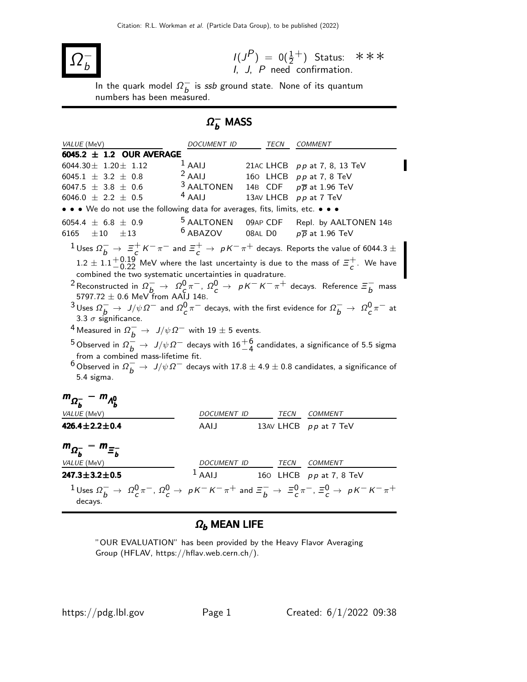

$$
I(J^{P}) = 0(\frac{1}{2}^{+})
$$
 Status:  $***$   
*I*, *J*, *P* need confirmation.

 $\overline{\phantom{a}}$ In the quark model  $\Omega_{b}^{-}$  $\overline{b}$  is ssb ground state. None of its quantum numbers has been measured.

# $\Omega_b^-$  MASS

| VALUE (MeV)                                                                                                                                                       | DOCUMENT ID                                               | TECN                     | <b>COMMENT</b>                                                                                                                                                     |  |  |  |
|-------------------------------------------------------------------------------------------------------------------------------------------------------------------|-----------------------------------------------------------|--------------------------|--------------------------------------------------------------------------------------------------------------------------------------------------------------------|--|--|--|
| 6045.2 $\pm$ 1.2 OUR AVERAGE                                                                                                                                      |                                                           |                          |                                                                                                                                                                    |  |  |  |
| 6044.30 $\pm$ 1.20 $\pm$ 1.12                                                                                                                                     |                                                           |                          | $1$ AAIJ 21AC LHCB pp at 7, 8, 13 TeV                                                                                                                              |  |  |  |
| 6045.1 $\pm$ 3.2 $\pm$ 0.8                                                                                                                                        | $2$ AAIJ                                                  |                          | 160 LHCB $pp$ at 7, 8 TeV                                                                                                                                          |  |  |  |
| 6047.5 $\pm$ 3.8 $\pm$ 0.6                                                                                                                                        | <sup>3</sup> AALTONEN 14B CDF $p\overline{p}$ at 1.96 TeV |                          |                                                                                                                                                                    |  |  |  |
| 6046.0 $\pm$ 2.2 $\pm$ 0.5                                                                                                                                        | $4$ AAIJ                                                  |                          | 13AV LHCB pp at 7 TeV                                                                                                                                              |  |  |  |
| • • • We do not use the following data for averages, fits, limits, etc. • • •                                                                                     |                                                           |                          |                                                                                                                                                                    |  |  |  |
| 6054.4 $\pm$ 6.8 $\pm$ 0.9                                                                                                                                        |                                                           |                          | <sup>5</sup> AALTONEN 09AP CDF Repl. by AALTONEN 14B                                                                                                               |  |  |  |
| 6165 $\pm 10$ $\pm 13$                                                                                                                                            | $6$ ABAZOV                                                | <b>08AL DO</b>           | $p\overline{p}$ at 1.96 TeV                                                                                                                                        |  |  |  |
| $1$ Uses $\Omega^-_h\to~\Xi_c^+$ $K^-\pi^-$ and $\Xi_c^+\to~pK^-\pi^+$ decays. Reports the value of 6044.3 $\pm$                                                  |                                                           |                          |                                                                                                                                                                    |  |  |  |
|                                                                                                                                                                   |                                                           |                          |                                                                                                                                                                    |  |  |  |
|                                                                                                                                                                   |                                                           |                          | $1.2 \pm 1.1^{+0.19}_{-0.22}$ MeV where the last uncertainty is due to the mass of $\Xi_c^+$ . We have                                                             |  |  |  |
| combined the two systematic uncertainties in quadrature.                                                                                                          |                                                           |                          |                                                                                                                                                                    |  |  |  |
| $^2$ Reconstructed in $\Omega_b^- \to~ \Omega_c^0 \pi^-$ , $\Omega_c^0 \to~pK^-K^-\pi^+$ decays. Reference $\Xi_b^-$ mass                                         |                                                           |                          |                                                                                                                                                                    |  |  |  |
| $5797.72 \pm 0.6$ MeV from AAIJ 14B.                                                                                                                              |                                                           |                          |                                                                                                                                                                    |  |  |  |
| $^3$ Uses $\Omega^-_h\to\,$ J/ $\psi\,\Omega^-$ and $\Omega^0_\text{}c^{\pi^-}$ decays, with the first evidence for $\Omega^-_h\to\,\Omega^0_\text{}c^{\pi^-}$ at |                                                           |                          |                                                                                                                                                                    |  |  |  |
| 3.3 $\sigma$ significance.                                                                                                                                        |                                                           |                          |                                                                                                                                                                    |  |  |  |
| <sup>4</sup> Measured in $\Omega_b^- \to J/\psi \, \Omega^-$ with 19 $\pm$ 5 events.                                                                              |                                                           |                          |                                                                                                                                                                    |  |  |  |
| $^5$ Observed in $\Omega_h^-\to\ J/\psi\,\Omega^-$ decays with $16{+6\atop-4}$ candidates, a significance of 5.5 sigma                                            |                                                           |                          |                                                                                                                                                                    |  |  |  |
| from a combined mass-lifetime fit.                                                                                                                                |                                                           |                          |                                                                                                                                                                    |  |  |  |
| $^6$ Observed in $\Omega_b^-\to\,J/\psi\,\Omega^-$ decays with 17.8 $\pm$ 4.9 $\pm$ 0.8 candidates, a significance of                                             |                                                           |                          |                                                                                                                                                                    |  |  |  |
| 5.4 sigma.                                                                                                                                                        |                                                           |                          |                                                                                                                                                                    |  |  |  |
|                                                                                                                                                                   |                                                           |                          |                                                                                                                                                                    |  |  |  |
| $m_{\Omega_h^-} - m_{\Lambda_h^0}$                                                                                                                                |                                                           |                          |                                                                                                                                                                    |  |  |  |
| VALUE (MeV)                                                                                                                                                       |                                                           | DOCUMENT ID TECN COMMENT |                                                                                                                                                                    |  |  |  |
| $426.4 \pm 2.2 \pm 0.4$                                                                                                                                           | <b>AAIJ</b>                                               |                          | 13AV LHCB pp at 7 TeV                                                                                                                                              |  |  |  |
|                                                                                                                                                                   |                                                           |                          |                                                                                                                                                                    |  |  |  |
| $m_{\Omega_h^-} - m_{\Xi_h^-}$                                                                                                                                    |                                                           |                          |                                                                                                                                                                    |  |  |  |
| VALUE (MeV)                                                                                                                                                       |                                                           |                          |                                                                                                                                                                    |  |  |  |
| $247.3 \pm 3.2 \pm 0.5$                                                                                                                                           |                                                           |                          | $\begin{array}{ccc}\n & \textit{DCUMENT ID} & \textit{TECN} & \textit{COMMENT} \\ \hline\n1 \text{ AAIJ} & 160 \text{ LHCB} & pp \text{ at 7, 8 TeV}\n\end{array}$ |  |  |  |
| $1$ Uses $\Omega_b^- \to \Omega_c^0 \pi^-$ , $\Omega_c^0 \to pK^-K^-\pi^+$ and $\Xi_b^- \to \Xi_c^0 \pi^-$ , $\Xi_c^0 \to pK^-K^-\pi^+$                           |                                                           |                          |                                                                                                                                                                    |  |  |  |
| decays.                                                                                                                                                           |                                                           |                          |                                                                                                                                                                    |  |  |  |
|                                                                                                                                                                   |                                                           |                          |                                                                                                                                                                    |  |  |  |

# $\Omega_b$  MEAN LIFE

"OUR EVALUATION" has been provided by the Heavy Flavor Averaging Group (HFLAV, https://hflav.web.cern.ch/).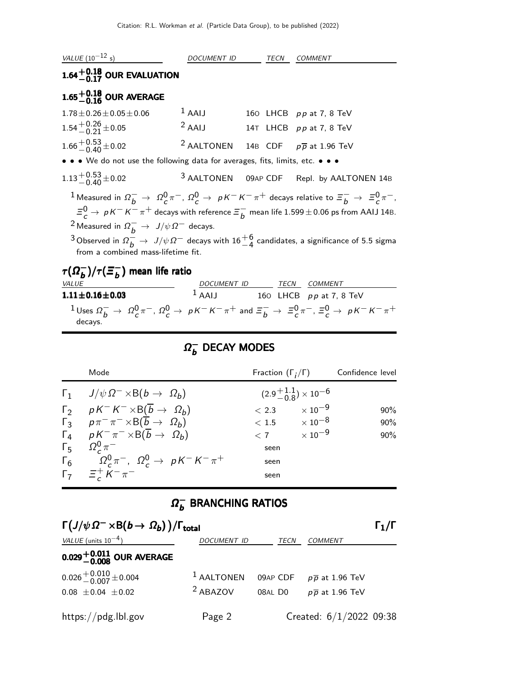

**1.11** $\pm$ **0.16** $\pm$ **0.03** <sup>1</sup> AAIJ 160 LHCB pp at 7, 8 TeV  $1$  Uses  $\Omega_b^- \to \Omega_c^0 \pi^-$ ,  $\Omega_c^0 \to pK^-K^-\pi^+$  and  $\Xi_b^- \to \Xi_c^0 \pi^-$ ,  $\Xi_c^0 \to pK^-K^-\pi^+$ decays.

## $\Omega_h^ _b^-$  Decay modes

| Mode                                                                   | Fraction $(\Gamma_i/\Gamma)$ |                                       | Confidence level |
|------------------------------------------------------------------------|------------------------------|---------------------------------------|------------------|
| $\Gamma_1$ $J/\psi \Omega^- \times B(b \to \Omega_b)$                  |                              | $(2.9\frac{+1.1}{0.8})\times 10^{-6}$ |                  |
| $\Gamma_2$ $pK^-K^- \times B(\overline{b} \to \Omega_b)$               |                              | $< 2.3$ $\times 10^{-9}$              | 90%              |
| $\Gamma_3$ $p\pi^{-}\pi^{-} \times B(\overline{b} \to \Omega_b)$       |                              | $< 1.5 \hspace{2em} \times 10^{-8}$   | 90%              |
| $\Gamma_4$ $pK^{-}\pi^{-} \times B(\overline{b} \rightarrow \Omega_b)$ | < 7                          | $\times$ 10 $^{-9}$                   | 90%              |
| $\Gamma_5 \Omega_c^0 \pi^-$                                            | seen                         |                                       |                  |
| $\Gamma_6$ $\Omega_c^0 \pi^-$ , $\Omega_c^0 \to pK^-K^-\pi^+$          | seen                         |                                       |                  |
| $\Gamma_7 = \frac{1}{6} K^- \pi^-$                                     | seen                         |                                       |                  |

## $\Omega_h^ _b^-$  BRANCHING RATIOS

| $\Gamma(J/\psi \Omega^- \times B(b \to \Omega_b)) / \Gamma_{total}$ |                       |          |                               |  |
|---------------------------------------------------------------------|-----------------------|----------|-------------------------------|--|
| VALUE (units $10^{-4}$ )                                            | <b>DOCUMENT ID</b>    | TECN     | <b>COMMENT</b>                |  |
| $0.029^{+0.011}_{-0.008}$ OUR AVERAGE                               |                       |          |                               |  |
| $0.026 + 0.010 + 0.004$                                             | <sup>1</sup> AALTONEN | 09AP CDF | $p\,\overline{p}$ at 1.96 TeV |  |
| $0.08 \pm 0.04 \pm 0.02$                                            | <sup>2</sup> ABAZOV   | 08AL D0  | $p\overline{p}$ at 1.96 TeV   |  |
| https://pdg.lbl.gov                                                 | Page 2                |          | Created: $6/1/2022$ 09:38     |  |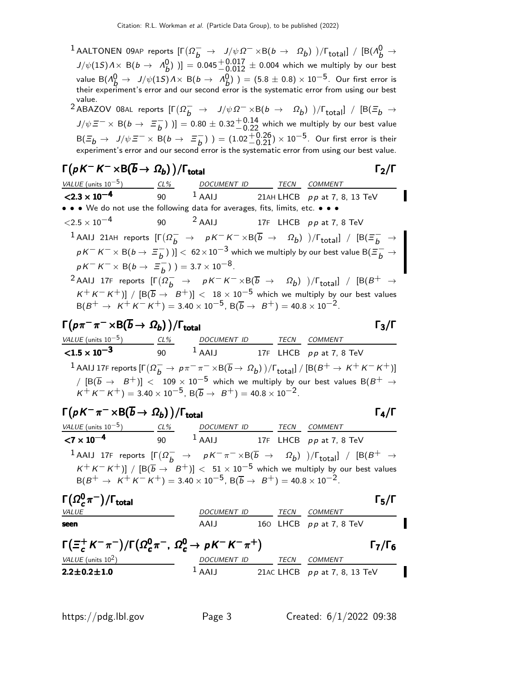$1$  AALTONEN 09AP reports  $[\Gamma(\Omega_b^- \to J/\psi \Omega^- \times B(b \to \Omega_b)) / \Gamma_{\text{total}}] / [B(\Lambda_b^0 \to$  $J/\psi(1S) \, \Lambda \times \, {\sf B} (b \, \to \, \, \Lambda_b^0 \, ) \, ] \, = \, 0.045 \, \frac{+ \, 0.017}{- \, 0.012} \, \pm \, 0.004$  which we multiply by our best value  $B(\Lambda_b^0 \to J/\psi(15) \Lambda \times B(b \to \Lambda_b^0)) = (5.8 \pm 0.8) \times 10^{-5}$ . Our first error is their experiment's error and our second error is the systematic error from using our best value.

 $2$  ABAZOV 08AL reports  $[Γ(Ω<sub>b</sub><sup>−</sup> → J/ψΩ<sup>−</sup> × B(b → Ω<sub>b</sub>))/Γ<sub>total</sub>] / [B(≡<sub>b</sub> →$  $J/\psi \equiv^- \times B(b \to \equiv^ \left[ \begin{smallmatrix} - \ b \end{smallmatrix} \right)$  )]  $= 0.80 \pm 0.32 {+0.14 \atop -0.22}$  which we multiply by our best value  $B(\Xi_b \to J/\psi \Xi^- \times B(b \to \Xi_b^ \binom{-}{b}$ ) =  $(1.02 + 0.26) \times 10^{-5}$ . Our first error is their experiment's error and our second error is the systematic error from using our best value.

$$
\Gamma(pK^-K^- \times B(\overline{b} \to \Omega_b)) / \Gamma_{\text{total}} \qquad \qquad \Gamma_2 / \Gamma
$$

| VALUE (units $10^{-5}$ )                                                                           | CL% | DOCUMENT ID TECN                    |  | COMMENT                                                                                                                                                                   |
|----------------------------------------------------------------------------------------------------|-----|-------------------------------------|--|---------------------------------------------------------------------------------------------------------------------------------------------------------------------------|
| $<$ 2.3 $\times$ 10 <sup>-4</sup>                                                                  | 90  | $1$ AAIJ                            |  | 21AH LHCB $pp$ at 7, 8, 13 TeV                                                                                                                                            |
| • • • We do not use the following data for averages, fits, limits, etc. • • •                      |     |                                     |  |                                                                                                                                                                           |
| $<$ 2.5 $\times$ 10 $^{-4}$                                                                        |     | 90 $2$ AAIJ 17F LHCB pp at 7, 8 TeV |  |                                                                                                                                                                           |
|                                                                                                    |     |                                     |  | $^{-1}$ AAIJ 21AH reports $[\Gamma(\Omega_{b}^{-} \rightarrow pK^{-}K^{-}\times B(\overline{b} \rightarrow \Omega_{b}))/\Gamma_{\rm total}] / [B(\Xi_{b}^{-} \rightarrow$ |
|                                                                                                    |     |                                     |  | $pK^-K^-\times B(b\to \Xi^-_h)$ $]$ $< 62\times10^{-3}$ which we multiply by our best value B( $\Xi^-_h \to$                                                              |
| $pK^{-}K^{-} \times B(b \to \Xi_{h}^{-})$ ) = 3.7 × 10 <sup>-8</sup> .                             |     |                                     |  |                                                                                                                                                                           |
|                                                                                                    |     |                                     |  | <sup>2</sup> AAIJ 17F reports $[\Gamma(\Omega_b^- \to pK^-K^-\times B(\overline{b} \to \Omega_b))/\Gamma_{\text{total}}] / [B(B^+ \to$                                    |
| $B(B^+ \to K^+ K^- K^+) = 3.40 \times 10^{-5}$ , $B(\overline{b} \to B^+) = 40.8 \times 10^{-2}$ . |     |                                     |  | $K^+ K^- K^+$ )] / $[B(\overline{b} \rightarrow B^+)] < 18 \times 10^{-5}$ which we multiply by our best values                                                           |

$$
\Gamma(p\pi^-\pi^-\times B(\overline{b}\to\Omega_b))/\Gamma_{\text{total}}\qquad \qquad \Gamma_3/\Gamma
$$

VALUE (units 10<sup>-5</sup>) CL% DOCUMENT ID TECN COMMENT  $\frac{\text{VALUE (units 10}^{-5})}{\text{1.5} \times 10^{-3}}$  $90$   $1$  AAIJ  $17$ F LHCB  $p p$  at 7, 8 TeV  $^1$  AAIJ 17F reports  $[\Gamma(\Omega_b^- \to p\pi^-\pi^- \times \text{B}(\overline{b} \to \Omega_b)) / \Gamma_{\text{total}}] / [\text{B}(B^+ \to K^+K^-K^+)]$ /  $[B(\overline{b} \rightarrow B^+)]$  < 109 × 10<sup>-5</sup> which we multiply by our best values B(B<sup>+</sup> →  $K^+ K^- K^+$ ) = 3.40 × 10<sup>-5</sup>, B( $\overline{b} \rightarrow B^+$ ) = 40.8 × 10<sup>-2</sup>.

| $\Gamma(pK^{-}\pi^{-}\times B(\overline{b}\to\Omega_b))/\Gamma_{\text{total}}$                                                                |                                                                                                                                                                                                                       |      |         | $\Gamma_4/\Gamma$ |
|-----------------------------------------------------------------------------------------------------------------------------------------------|-----------------------------------------------------------------------------------------------------------------------------------------------------------------------------------------------------------------------|------|---------|-------------------|
| VALUE (units $10^{-5}$ ) CL%                                                                                                                  | DOCUMENT ID                                                                                                                                                                                                           | TECN | COMMENT |                   |
| $<$ 7 $\times$ 10 $^{-4}$                                                                                                                     | 90 $^1$ AAIJ 17F LHCB pp at 7, 8 TeV                                                                                                                                                                                  |      |         |                   |
| <sup>1</sup> AAIJ 17F reports $[\Gamma(\Omega_{h}^{-} \to pK^{-}\pi^{-}\times B(\overline{b} \to \Omega_{b}))/\Gamma_{total}] / [B(B^{+} \to$ |                                                                                                                                                                                                                       |      |         |                   |
|                                                                                                                                               | $K^+ K^- K^+$ )] / $[B(\overline{b} \rightarrow B^+)] < 51 \times 10^{-5}$ which we multiply by our best values<br>$B(B^+ \to K^+ K^- K^+) = 3.40 \times 10^{-5}$ , $B(\overline{b} \to B^+) = 40.8 \times 10^{-2}$ . |      |         |                   |
| $\Gamma(\Omega_c^0 \pi^-)/\Gamma_{\rm total}$                                                                                                 |                                                                                                                                                                                                                       |      |         | $\frac{1}{5}$ /I  |

| $\Gamma(\Omega_c^0 \pi^-)/\Gamma_{\rm total}$                                          |                    |      |                                | $\Gamma_5/\Gamma$      |
|----------------------------------------------------------------------------------------|--------------------|------|--------------------------------|------------------------|
| <i>VALUE</i>                                                                           | DOCUMENT ID        | TECN | <i>COMMENT</i>                 |                        |
| seen                                                                                   | AAIJ               |      | 160 LHCB $pp$ at 7, 8 TeV      |                        |
| $\Gamma(\Xi_c^+ K^- \pi^-)/\Gamma(\Omega_c^0 \pi^-$ , $\Omega_c^0 \to pK^- K^- \pi^+)$ |                    |      |                                | $\Gamma$ 7/ $\Gamma$ 6 |
| VALUE (units $10^2$ )                                                                  | <i>DOCUMENT ID</i> | TECN | COMMENT                        |                        |
| $2.2 \pm 0.2 \pm 1.0$                                                                  | $1$ AAIJ           |      | 21AC LHCB $pp$ at 7, 8, 13 TeV |                        |